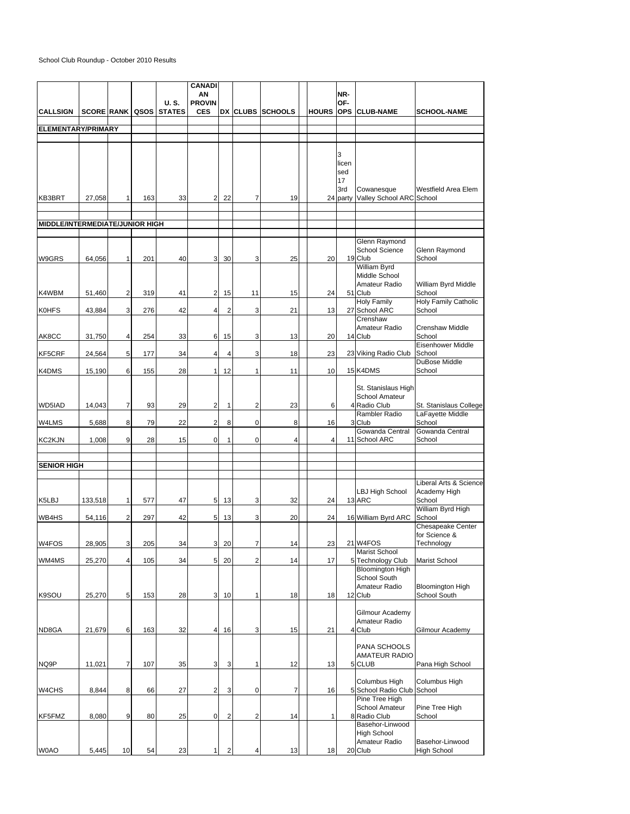## School Club Roundup - October 2010 Results

|                                 |         |                         |     |                                       | <b>CANADI</b>               |                         |                         |                  |              |                 |                                        |                                         |
|---------------------------------|---------|-------------------------|-----|---------------------------------------|-----------------------------|-------------------------|-------------------------|------------------|--------------|-----------------|----------------------------------------|-----------------------------------------|
|                                 |         |                         |     |                                       | ΑN                          |                         |                         |                  |              | NR-             |                                        |                                         |
| <b>CALLSIGN</b>                 |         |                         |     | U.S.<br><b>SCORE RANK QSOS STATES</b> | <b>PROVIN</b><br><b>CES</b> |                         |                         | DX CLUBS SCHOOLS |              | OF-             | <b>HOURS OPS CLUB-NAME</b>             | <b>SCHOOL-NAME</b>                      |
|                                 |         |                         |     |                                       |                             |                         |                         |                  |              |                 |                                        |                                         |
| <b>ELEMENTARY/PRIMARY</b>       |         |                         |     |                                       |                             |                         |                         |                  |              |                 |                                        |                                         |
|                                 |         |                         |     |                                       |                             |                         |                         |                  |              |                 |                                        |                                         |
|                                 |         |                         |     |                                       |                             |                         |                         |                  |              | 3               |                                        |                                         |
|                                 |         |                         |     |                                       |                             |                         |                         |                  |              | licen           |                                        |                                         |
|                                 |         |                         |     |                                       |                             |                         |                         |                  |              | sed             |                                        |                                         |
|                                 |         |                         |     |                                       |                             |                         |                         |                  |              | 17              |                                        |                                         |
| KB3BRT                          | 27,058  | $\mathbf{1}$            | 163 | 33                                    | 2 <sup>1</sup>              | 22                      | $\overline{7}$          | 19               |              | 3rd<br>24 party | Cowanesque<br>Valley School ARC School | Westfield Area Elem                     |
|                                 |         |                         |     |                                       |                             |                         |                         |                  |              |                 |                                        |                                         |
|                                 |         |                         |     |                                       |                             |                         |                         |                  |              |                 |                                        |                                         |
| MIDDLE/INTERMEDIATE/JUNIOR HIGH |         |                         |     |                                       |                             |                         |                         |                  |              |                 |                                        |                                         |
|                                 |         |                         |     |                                       |                             |                         |                         |                  |              |                 | Glenn Raymond                          |                                         |
|                                 |         |                         |     |                                       |                             |                         |                         |                  |              |                 | <b>School Science</b>                  | Glenn Raymond                           |
| W9GRS                           | 64,056  | 1                       | 201 | 40                                    | 3 <sup>1</sup>              | 30                      | 3                       | 25               | 20           |                 | 19 Club                                | School                                  |
|                                 |         |                         |     |                                       |                             |                         |                         |                  |              |                 | William Byrd<br>Middle School          |                                         |
|                                 |         |                         |     |                                       |                             |                         |                         |                  |              |                 | Amateur Radio                          | William Byrd Middle                     |
| K4WBM                           | 51.460  | $\overline{\mathbf{c}}$ | 319 | 41                                    | 2 <sup>1</sup>              | 15                      | 11                      | 15               | 24           |                 | 51 Club                                | School                                  |
|                                 |         |                         |     |                                       |                             |                         |                         |                  |              |                 | <b>Holy Family</b>                     | <b>Holy Family Catholic</b>             |
| <b>K0HFS</b>                    | 43,884  | 3                       | 276 | 42                                    | $\overline{4}$              | $\overline{\mathbf{c}}$ | 3                       | 21               | 13           |                 | 27 School ARC<br>Crenshaw              | School                                  |
|                                 |         |                         |     |                                       |                             |                         |                         |                  |              |                 | Amateur Radio                          | <b>Crenshaw Middle</b>                  |
| AK8CC                           | 31.750  | 4                       | 254 | 33                                    | 6                           | 15                      | 3                       | 13               | 20           |                 | 14 Club                                | School                                  |
|                                 |         |                         |     |                                       |                             |                         |                         |                  |              |                 |                                        | Eisenhower Middle                       |
| KF5CRF                          | 24,564  | 5                       | 177 | 34                                    | $\overline{4}$              | 4                       | 3                       | 18               | 23           |                 | 23 Viking Radio Club                   | School<br>DuBose Middle                 |
| K4DMS                           | 15,190  | 6                       | 155 | 28                                    | 1 <sup>1</sup>              | 12                      | 1                       | 11               | 10           |                 | 15 K4DMS                               | School                                  |
|                                 |         |                         |     |                                       |                             |                         |                         |                  |              |                 |                                        |                                         |
|                                 |         |                         |     |                                       |                             |                         |                         |                  |              |                 | St. Stanislaus High<br>School Amateur  |                                         |
| WD5IAD                          | 14,043  | 7                       | 93  | 29                                    | 2                           | 1                       | $\overline{2}$          | 23               | 6            |                 | 4 Radio Club                           | St. Stanislaus College                  |
|                                 |         |                         |     |                                       |                             |                         |                         |                  |              |                 | Rambler Radio                          | LaFayette Middle                        |
| W4LMS                           | 5,688   | 8                       | 79  | 22                                    | $\overline{a}$              | 8                       | 0                       | 8                | 16           |                 | 3 Club                                 | School                                  |
| KC2KJN                          | 1,008   | 9                       | 28  | 15                                    | $\mathbf 0$                 | 1                       | $\mathbf 0$             | $\overline{4}$   | 4            |                 | Gowanda Central<br>11 School ARC       | Gowanda Central<br>School               |
|                                 |         |                         |     |                                       |                             |                         |                         |                  |              |                 |                                        |                                         |
|                                 |         |                         |     |                                       |                             |                         |                         |                  |              |                 |                                        |                                         |
| <b>SENIOR HIGH</b>              |         |                         |     |                                       |                             |                         |                         |                  |              |                 |                                        |                                         |
|                                 |         |                         |     |                                       |                             |                         |                         |                  |              |                 |                                        | Liberal Arts & Science                  |
|                                 |         |                         |     |                                       |                             |                         |                         |                  |              |                 | <b>LBJ High School</b>                 | Academy High                            |
| K5LBJ                           | 133,518 | $\mathbf{1}$            | 577 | 47                                    | 5 <sub>5</sub>              | 13                      | 3                       | 32               | 24           |                 | 13 ARC                                 | School<br>William Byrd High             |
| WB4HS                           | 54,116  | 2                       | 297 | 42                                    | 5 <sub>5</sub>              | 13                      | 3                       | 20               | 24           |                 | 16 William Byrd ARC                    | School                                  |
|                                 |         |                         |     |                                       |                             |                         |                         |                  |              |                 |                                        | <b>Chesapeake Center</b>                |
|                                 |         |                         |     |                                       |                             |                         |                         |                  |              |                 |                                        | for Science &                           |
| W4FOS                           | 28,905  | 3                       | 205 | 34                                    | 3                           | 20                      | 7                       | 14               | 23           |                 | 21 W4FOS<br>Marist School              | Technology                              |
| WM4MS                           | 25,270  | 4                       | 105 | 34                                    | 5                           | 20                      | $\overline{\mathbf{c}}$ | 14               | 17           |                 | 5 Technology Club                      | Marist School                           |
|                                 |         |                         |     |                                       |                             |                         |                         |                  |              |                 | <b>Bloomington High</b>                |                                         |
|                                 |         |                         |     |                                       |                             |                         |                         |                  |              |                 | School South<br>Amateur Radio          |                                         |
| K9SOU                           | 25,270  | 5                       | 153 | 28                                    | 3 <sup>1</sup>              | 10                      | 1                       | 18               | 18           |                 | 12 Club                                | <b>Bloomington High</b><br>School South |
|                                 |         |                         |     |                                       |                             |                         |                         |                  |              |                 |                                        |                                         |
|                                 |         |                         |     |                                       |                             |                         |                         |                  |              |                 | Gilmour Academy                        |                                         |
| ND8GA                           | 21,679  | 6                       | 163 | 32                                    | $\overline{4}$              | 16                      | 3                       | 15               | 21           |                 | Amateur Radio<br>4 Club                | Gilmour Academy                         |
|                                 |         |                         |     |                                       |                             |                         |                         |                  |              |                 |                                        |                                         |
|                                 |         |                         |     |                                       |                             |                         |                         |                  |              |                 | PANA SCHOOLS                           |                                         |
| NQ9P                            | 11,021  | 7                       | 107 | 35                                    | 3                           | 3                       | 1                       | 12               | 13           |                 | <b>AMATEUR RADIO</b><br>5 CLUB         | Pana High School                        |
|                                 |         |                         |     |                                       |                             |                         |                         |                  |              |                 |                                        |                                         |
|                                 |         |                         |     |                                       |                             |                         |                         |                  |              |                 | Columbus High                          | Columbus High                           |
| W4CHS                           | 8,844   | 8                       | 66  | 27                                    | $\mathbf 2$                 | 3                       | 0                       | 7                | 16           |                 | 5 School Radio Club                    | School                                  |
|                                 |         |                         |     |                                       |                             |                         |                         |                  |              |                 | Pine Tree High<br>School Amateur       | Pine Tree High                          |
| KF5FMZ                          | 8,080   | 9                       | 80  | 25                                    | $\mathbf 0$                 | $\overline{\mathbf{c}}$ | $\overline{2}$          | 14               | $\mathbf{1}$ |                 | 8 Radio Club                           | School                                  |
|                                 |         |                         |     |                                       |                             |                         |                         |                  |              |                 | Basehor-Linwood                        |                                         |
|                                 |         |                         |     |                                       |                             |                         |                         |                  |              |                 | High School                            |                                         |
| W0AO                            | 5,445   | 10                      | 54  | 23                                    | 1                           | $\overline{\mathbf{c}}$ | 4                       | 13               | 18           |                 | Amateur Radio<br>20 Club               | Basehor-Linwood<br><b>High School</b>   |